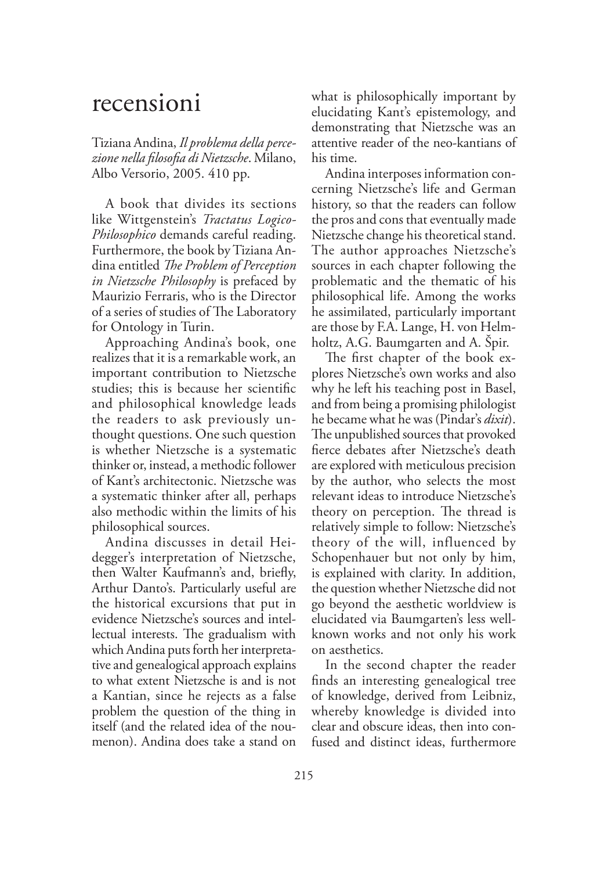## recensioni

Tiziana Andina, *Il problema della percezione nella filosofia di Nietzsche*. Milano, Albo Versorio, 2005. 410 pp.

A book that divides its sections like Wittgenstein's *Tractatus Logico-Philosophico* demands careful reading. Furthermore, the book by Tiziana Andina entitled *The Problem of Perception in Nietzsche Philosophy* is prefaced by Maurizio Ferraris, who is the Director of a series of studies of The Laboratory for Ontology in Turin.

Approaching Andina's book, one realizes that it is a remarkable work, an important contribution to Nietzsche studies; this is because her scientific and philosophical knowledge leads the readers to ask previously unthought questions. One such question is whether Nietzsche is a systematic thinker or, instead, a methodic follower of Kant's architectonic. Nietzsche was a systematic thinker after all, perhaps also methodic within the limits of his philosophical sources.

Andina discusses in detail Heidegger's interpretation of Nietzsche, then Walter Kaufmann's and, briefly, Arthur Danto's. Particularly useful are the historical excursions that put in evidence Nietzsche's sources and intellectual interests. The gradualism with which Andina puts forth her interpretative and genealogical approach explains to what extent Nietzsche is and is not a Kantian, since he rejects as a false problem the question of the thing in itself (and the related idea of the noumenon). Andina does take a stand on what is philosophically important by elucidating Kant's epistemology, and demonstrating that Nietzsche was an attentive reader of the neo-kantians of his time.

Andina interposes information concerning Nietzsche's life and German history, so that the readers can follow the pros and cons that eventually made Nietzsche change his theoretical stand. The author approaches Nietzsche's sources in each chapter following the problematic and the thematic of his philosophical life. Among the works he assimilated, particularly important are those by F.A. Lange, H. von Helmholtz, A.G. Baumgarten and A. Špir.

The first chapter of the book explores Nietzsche's own works and also why he left his teaching post in Basel, and from being a promising philologist he became what he was (Pindar's *dixit*). The unpublished sources that provoked fierce debates after Nietzsche's death are explored with meticulous precision by the author, who selects the most relevant ideas to introduce Nietzsche's theory on perception. The thread is relatively simple to follow: Nietzsche's theory of the will, influenced by Schopenhauer but not only by him, is explained with clarity. In addition, the question whether Nietzsche did not go beyond the aesthetic worldview is elucidated via Baumgarten's less wellknown works and not only his work on aesthetics.

In the second chapter the reader finds an interesting genealogical tree of knowledge, derived from Leibniz, whereby knowledge is divided into clear and obscure ideas, then into confused and distinct ideas, furthermore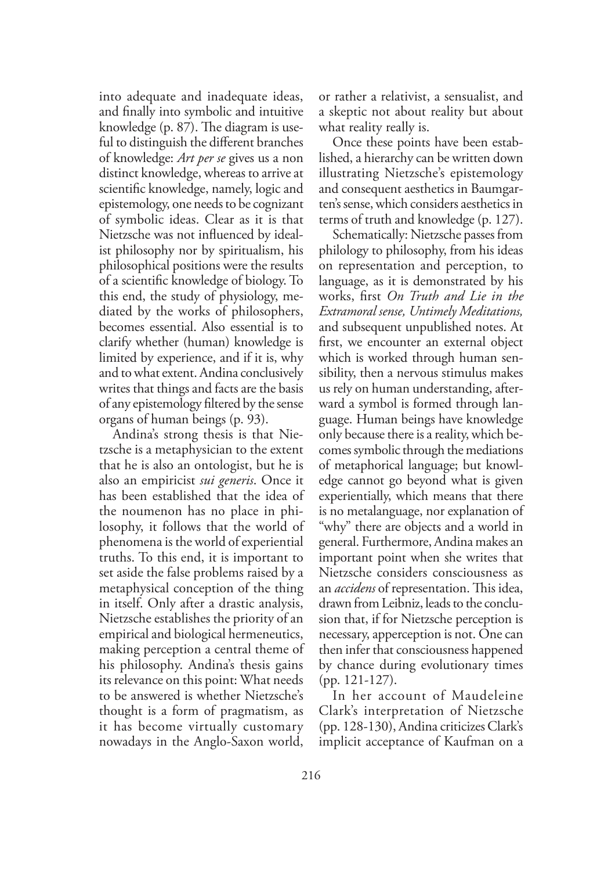into adequate and inadequate ideas, and finally into symbolic and intuitive knowledge (p.  $87$ ). The diagram is useful to distinguish the different branches of knowledge: *Art per se* gives us a non distinct knowledge, whereas to arrive at scientific knowledge, namely, logic and epistemology, one needs to be cognizant of symbolic ideas. Clear as it is that Nietzsche was not influenced by idealist philosophy nor by spiritualism, his philosophical positions were the results of a scientific knowledge of biology. To this end, the study of physiology, mediated by the works of philosophers, becomes essential. Also essential is to clarify whether (human) knowledge is limited by experience, and if it is, why and to what extent. Andina conclusively writes that things and facts are the basis of any epistemology filtered by the sense organs of human beings (p. 93).

Andina's strong thesis is that Nietzsche is a metaphysician to the extent that he is also an ontologist, but he is also an empiricist *sui generis*. Once it has been established that the idea of the noumenon has no place in philosophy, it follows that the world of phenomena is the world of experiential truths. To this end, it is important to set aside the false problems raised by a metaphysical conception of the thing in itself. Only after a drastic analysis, Nietzsche establishes the priority of an empirical and biological hermeneutics, making perception a central theme of his philosophy. Andina's thesis gains its relevance on this point: What needs to be answered is whether Nietzsche's thought is a form of pragmatism, as it has become virtually customary nowadays in the Anglo-Saxon world,

or rather a relativist, a sensualist, and a skeptic not about reality but about what reality really is.

Once these points have been established, a hierarchy can be written down illustrating Nietzsche's epistemology and consequent aesthetics in Baumgarten's sense, which considers aesthetics in terms of truth and knowledge (p. 127).

Schematically: Nietzsche passes from philology to philosophy, from his ideas on representation and perception, to language, as it is demonstrated by his works, first *On Truth and Lie in the Extramoral sense, Untimely Meditations,* and subsequent unpublished notes. At first, we encounter an external object which is worked through human sensibility, then a nervous stimulus makes us rely on human understanding, afterward a symbol is formed through language. Human beings have knowledge only because there is a reality, which becomes symbolic through the mediations of metaphorical language; but knowledge cannot go beyond what is given experientially, which means that there is no metalanguage, nor explanation of "why" there are objects and a world in general. Furthermore, Andina makes an important point when she writes that Nietzsche considers consciousness as an *accidens* of representation. This idea, drawn from Leibniz, leads to the conclusion that, if for Nietzsche perception is necessary, apperception is not. One can then infer that consciousness happened by chance during evolutionary times (pp. 121-127).

In her account of Maudeleine Clark's interpretation of Nietzsche (pp. 128-130), Andina criticizes Clark's implicit acceptance of Kaufman on a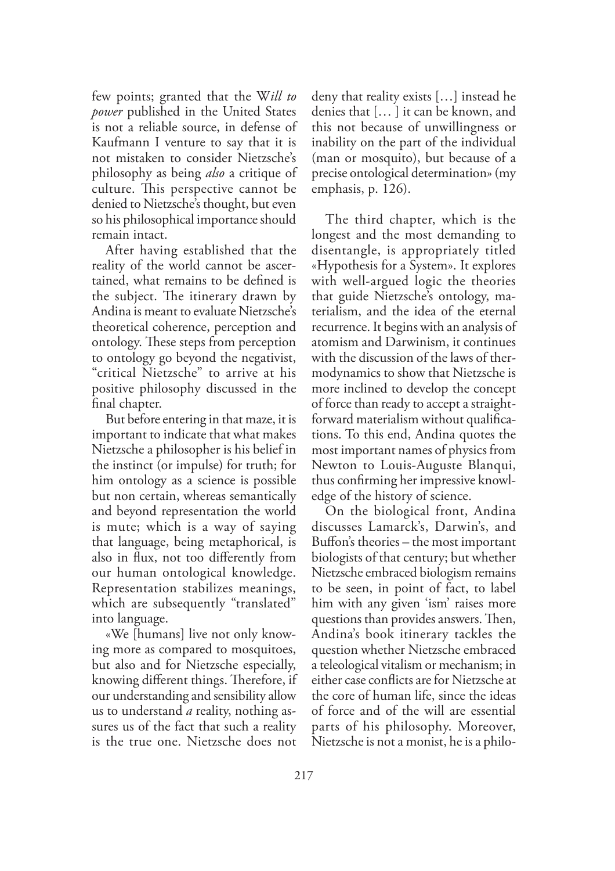few points; granted that the W*ill to power* published in the United States is not a reliable source, in defense of Kaufmann I venture to say that it is not mistaken to consider Nietzsche's philosophy as being *also* a critique of culture. This perspective cannot be denied to Nietzsche's thought, but even so his philosophical importance should remain intact.

After having established that the reality of the world cannot be ascertained, what remains to be defined is the subject. The itinerary drawn by Andina is meant to evaluate Nietzsche's theoretical coherence, perception and ontology. These steps from perception to ontology go beyond the negativist, "critical Nietzsche" to arrive at his positive philosophy discussed in the final chapter.

But before entering in that maze, it is important to indicate that what makes Nietzsche a philosopher is his belief in the instinct (or impulse) for truth; for him ontology as a science is possible but non certain, whereas semantically and beyond representation the world is mute; which is a way of saying that language, being metaphorical, is also in flux, not too differently from our human ontological knowledge. Representation stabilizes meanings, which are subsequently "translated" into language.

«We [humans] live not only knowing more as compared to mosquitoes, but also and for Nietzsche especially, knowing different things. Therefore, if our understanding and sensibility allow us to understand *a* reality, nothing assures us of the fact that such a reality is the true one. Nietzsche does not

deny that reality exists […] instead he denies that [… ] it can be known, and this not because of unwillingness or inability on the part of the individual (man or mosquito), but because of a precise ontological determination» (my emphasis, p. 126).

The third chapter, which is the longest and the most demanding to disentangle, is appropriately titled «Hypothesis for a System». It explores with well-argued logic the theories that guide Nietzsche's ontology, materialism, and the idea of the eternal recurrence. It begins with an analysis of atomism and Darwinism, it continues with the discussion of the laws of thermodynamics to show that Nietzsche is more inclined to develop the concept of force than ready to accept a straightforward materialism without qualifications. To this end, Andina quotes the most important names of physics from Newton to Louis-Auguste Blanqui, thus confirming her impressive knowledge of the history of science.

On the biological front, Andina discusses Lamarck's, Darwin's, and Buffon's theories – the most important biologists of that century; but whether Nietzsche embraced biologism remains to be seen, in point of fact, to label him with any given 'ism' raises more questions than provides answers. Then, Andina's book itinerary tackles the question whether Nietzsche embraced a teleological vitalism or mechanism; in either case conflicts are for Nietzsche at the core of human life, since the ideas of force and of the will are essential parts of his philosophy. Moreover, Nietzsche is not a monist, he is a philo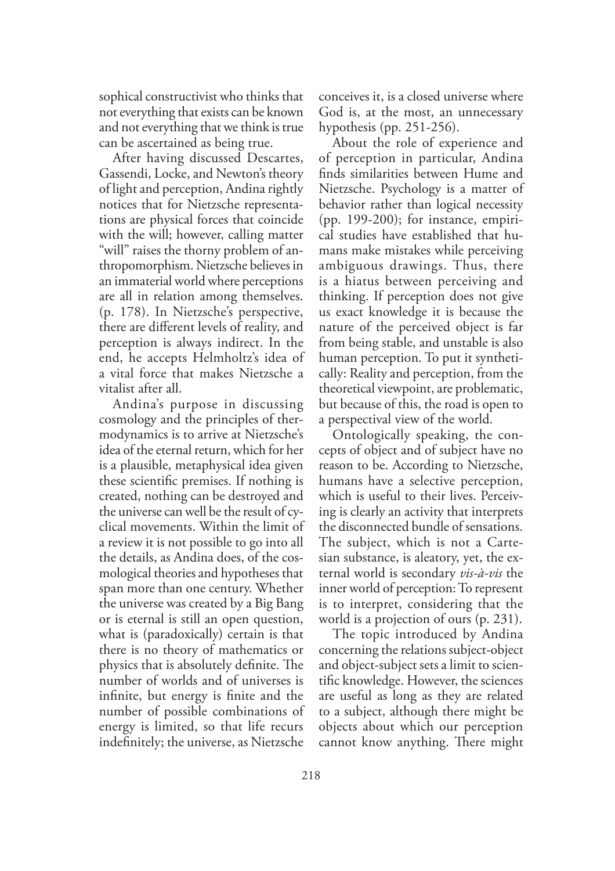sophical constructivist who thinks that not everything that exists can be known and not everything that we think is true can be ascertained as being true.

After having discussed Descartes, Gassendi, Locke, and Newton's theory of light and perception, Andina rightly notices that for Nietzsche representations are physical forces that coincide with the will; however, calling matter "will" raises the thorny problem of anthropomorphism. Nietzsche believes in an immaterial world where perceptions are all in relation among themselves. (p. 178). In Nietzsche's perspective, there are different levels of reality, and perception is always indirect. In the end, he accepts Helmholtz's idea of a vital force that makes Nietzsche a vitalist after all.

Andina's purpose in discussing cosmology and the principles of thermodynamics is to arrive at Nietzsche's idea of the eternal return, which for her is a plausible, metaphysical idea given these scientific premises. If nothing is created, nothing can be destroyed and the universe can well be the result of cyclical movements. Within the limit of a review it is not possible to go into all the details, as Andina does, of the cosmological theories and hypotheses that span more than one century. Whether the universe was created by a Big Bang or is eternal is still an open question, what is (paradoxically) certain is that there is no theory of mathematics or physics that is absolutely definite. The number of worlds and of universes is infinite, but energy is finite and the number of possible combinations of energy is limited, so that life recurs indefinitely; the universe, as Nietzsche

conceives it, is a closed universe where God is, at the most, an unnecessary hypothesis (pp. 251-256).

About the role of experience and of perception in particular, Andina finds similarities between Hume and Nietzsche. Psychology is a matter of behavior rather than logical necessity (pp. 199-200); for instance, empirical studies have established that humans make mistakes while perceiving ambiguous drawings. Thus, there is a hiatus between perceiving and thinking. If perception does not give us exact knowledge it is because the nature of the perceived object is far from being stable, and unstable is also human perception. To put it synthetically: Reality and perception, from the theoretical viewpoint, are problematic, but because of this, the road is open to a perspectival view of the world.

Ontologically speaking, the concepts of object and of subject have no reason to be. According to Nietzsche, humans have a selective perception, which is useful to their lives. Perceiving is clearly an activity that interprets the disconnected bundle of sensations. The subject, which is not a Cartesian substance, is aleatory, yet, the external world is secondary *vis-à-vis* the inner world of perception: To represent is to interpret, considering that the world is a projection of ours (p. 231).

The topic introduced by Andina concerning the relations subject-object and object-subject sets a limit to scientific knowledge. However, the sciences are useful as long as they are related to a subject, although there might be objects about which our perception cannot know anything. There might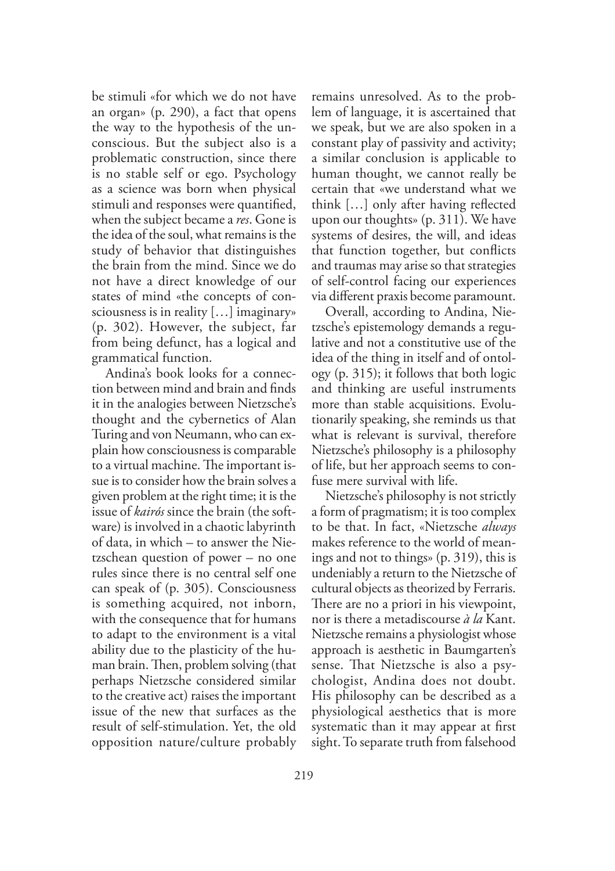be stimuli «for which we do not have an organ» (p. 290), a fact that opens the way to the hypothesis of the unconscious. But the subject also is a problematic construction, since there is no stable self or ego. Psychology as a science was born when physical stimuli and responses were quantified, when the subject became a *res*. Gone is the idea of the soul, what remains is the study of behavior that distinguishes the brain from the mind. Since we do not have a direct knowledge of our states of mind «the concepts of consciousness is in reality […] imaginary» (p. 302). However, the subject, far from being defunct, has a logical and grammatical function.

Andina's book looks for a connection between mind and brain and finds it in the analogies between Nietzsche's thought and the cybernetics of Alan Turing and von Neumann, who can explain how consciousness is comparable to a virtual machine. The important issue is to consider how the brain solves a given problem at the right time; it is the issue of *kairós* since the brain (the software) is involved in a chaotic labyrinth of data, in which – to answer the Nietzschean question of power – no one rules since there is no central self one can speak of (p. 305). Consciousness is something acquired, not inborn, with the consequence that for humans to adapt to the environment is a vital ability due to the plasticity of the human brain. Then, problem solving (that perhaps Nietzsche considered similar to the creative act) raises the important issue of the new that surfaces as the result of self-stimulation. Yet, the old opposition nature/culture probably

remains unresolved. As to the problem of language, it is ascertained that we speak, but we are also spoken in a constant play of passivity and activity; a similar conclusion is applicable to human thought, we cannot really be certain that «we understand what we think […] only after having reflected upon our thoughts» (p. 311). We have systems of desires, the will, and ideas that function together, but conflicts and traumas may arise so that strategies of self-control facing our experiences via different praxis become paramount.

Overall, according to Andina, Nietzsche's epistemology demands a regulative and not a constitutive use of the idea of the thing in itself and of ontology (p. 315); it follows that both logic and thinking are useful instruments more than stable acquisitions. Evolutionarily speaking, she reminds us that what is relevant is survival, therefore Nietzsche's philosophy is a philosophy of life, but her approach seems to confuse mere survival with life.

Nietzsche's philosophy is not strictly a form of pragmatism; it is too complex to be that. In fact, «Nietzsche *always* makes reference to the world of meanings and not to things» (p. 319), this is undeniably a return to the Nietzsche of cultural objects as theorized by Ferraris. There are no a priori in his viewpoint, nor is there a metadiscourse *à la* Kant. Nietzsche remains a physiologist whose approach is aesthetic in Baumgarten's sense. That Nietzsche is also a psychologist, Andina does not doubt. His philosophy can be described as a physiological aesthetics that is more systematic than it may appear at first sight. To separate truth from falsehood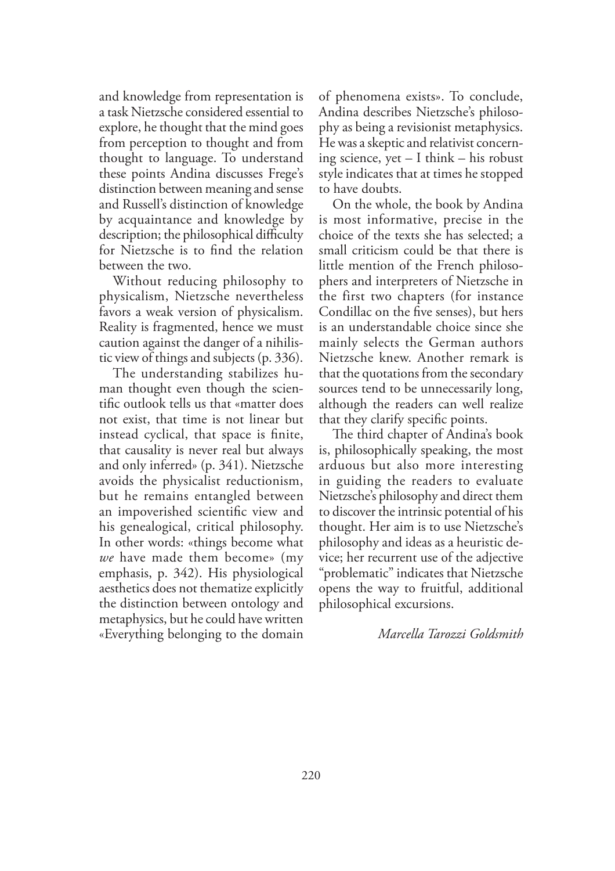and knowledge from representation is a task Nietzsche considered essential to explore, he thought that the mind goes from perception to thought and from thought to language. To understand these points Andina discusses Frege's distinction between meaning and sense and Russell's distinction of knowledge by acquaintance and knowledge by description; the philosophical difficulty for Nietzsche is to find the relation between the two.

Without reducing philosophy to physicalism, Nietzsche nevertheless favors a weak version of physicalism. Reality is fragmented, hence we must caution against the danger of a nihilistic view of things and subjects (p. 336).

The understanding stabilizes human thought even though the scientific outlook tells us that «matter does not exist, that time is not linear but instead cyclical, that space is finite, that causality is never real but always and only inferred» (p. 341). Nietzsche avoids the physicalist reductionism, but he remains entangled between an impoverished scientific view and his genealogical, critical philosophy. In other words: «things become what *we* have made them become» (my emphasis, p. 342). His physiological aesthetics does not thematize explicitly the distinction between ontology and metaphysics, but he could have written «Everything belonging to the domain

of phenomena exists». To conclude, Andina describes Nietzsche's philosophy as being a revisionist metaphysics. He was a skeptic and relativist concerning science, yet – I think – his robust style indicates that at times he stopped to have doubts.

On the whole, the book by Andina is most informative, precise in the choice of the texts she has selected; a small criticism could be that there is little mention of the French philosophers and interpreters of Nietzsche in the first two chapters (for instance Condillac on the five senses), but hers is an understandable choice since she mainly selects the German authors Nietzsche knew. Another remark is that the quotations from the secondary sources tend to be unnecessarily long, although the readers can well realize that they clarify specific points.

The third chapter of Andina's book is, philosophically speaking, the most arduous but also more interesting in guiding the readers to evaluate Nietzsche's philosophy and direct them to discover the intrinsic potential of his thought. Her aim is to use Nietzsche's philosophy and ideas as a heuristic device; her recurrent use of the adjective "problematic" indicates that Nietzsche opens the way to fruitful, additional philosophical excursions.

## *Marcella Tarozzi Goldsmith*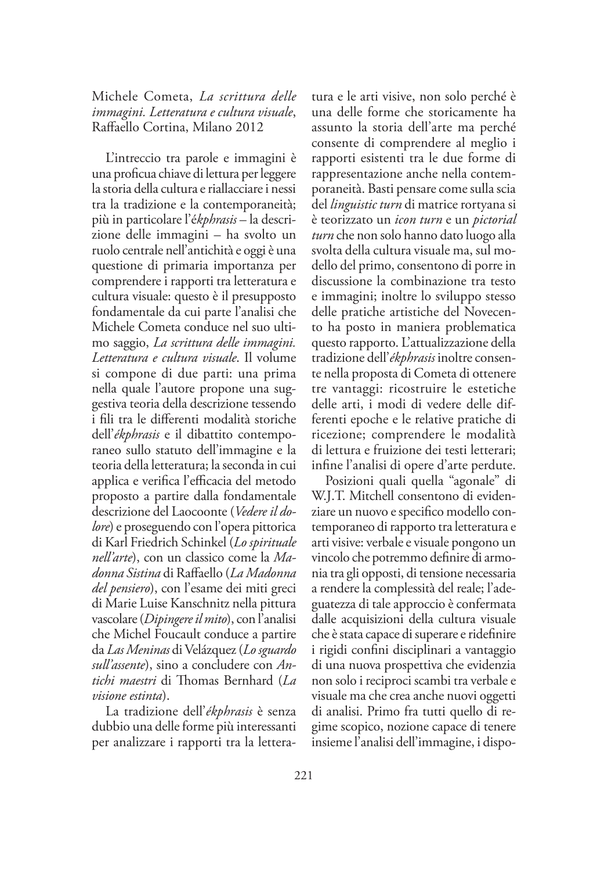## Michele Cometa, *La scrittura delle immagini. Letteratura e cultura visuale*, Raffaello Cortina, Milano 2012

L'intreccio tra parole e immagini è una proficua chiave di lettura per leggere la storia della cultura e riallacciare i nessi tra la tradizione e la contemporaneità; più in particolare l'é*kphrasis* – la descrizione delle immagini – ha svolto un ruolo centrale nell'antichità e oggi è una questione di primaria importanza per comprendere i rapporti tra letteratura e cultura visuale: questo è il presupposto fondamentale da cui parte l'analisi che Michele Cometa conduce nel suo ultimo saggio, *La scrittura delle immagini. Letteratura e cultura visuale*. Il volume si compone di due parti: una prima nella quale l'autore propone una suggestiva teoria della descrizione tessendo i fili tra le differenti modalità storiche dell'*ékphrasis* e il dibattito contemporaneo sullo statuto dell'immagine e la teoria della letteratura; la seconda in cui applica e verifica l'efficacia del metodo proposto a partire dalla fondamentale descrizione del Laocoonte (*Vedere il dolore*) e proseguendo con l'opera pittorica di Karl Friedrich Schinkel (*Lo spirituale nell'arte*), con un classico come la *Madonna Sistina* di Raffaello (*La Madonna del pensiero*), con l'esame dei miti greci di Marie Luise Kanschnitz nella pittura vascolare (*Dipingere il mito*), con l'analisi che Michel Foucault conduce a partire da *Las Meninas* di Velázquez (*Lo sguardo sull'assente*), sino a concludere con *Antichi maestri* di +omas Bernhard (*La visione estinta*).

La tradizione dell'*ékphrasis* è senza dubbio una delle forme più interessanti per analizzare i rapporti tra la letteratura e le arti visive, non solo perché è una delle forme che storicamente ha assunto la storia dell'arte ma perché consente di comprendere al meglio i rapporti esistenti tra le due forme di rappresentazione anche nella contemporaneità. Basti pensare come sulla scia del *linguistic turn* di matrice rortyana si è teorizzato un *icon turn* e un *pictorial turn* che non solo hanno dato luogo alla svolta della cultura visuale ma, sul modello del primo, consentono di porre in discussione la combinazione tra testo e immagini; inoltre lo sviluppo stesso delle pratiche artistiche del Novecento ha posto in maniera problematica questo rapporto. L'attualizzazione della tradizione dell'*ékphrasis* inoltre consente nella proposta di Cometa di ottenere tre vantaggi: ricostruire le estetiche delle arti, i modi di vedere delle differenti epoche e le relative pratiche di ricezione; comprendere le modalità di lettura e fruizione dei testi letterari; infine l'analisi di opere d'arte perdute.

Posizioni quali quella "agonale" di W.J.T. Mitchell consentono di evidenziare un nuovo e specifico modello contemporaneo di rapporto tra letteratura e arti visive: verbale e visuale pongono un vincolo che potremmo definire di armonia tra gli opposti, di tensione necessaria a rendere la complessità del reale; l'adeguatezza di tale approccio è confermata dalle acquisizioni della cultura visuale che è stata capace di superare e ridefinire i rigidi confini disciplinari a vantaggio di una nuova prospettiva che evidenzia non solo i reciproci scambi tra verbale e visuale ma che crea anche nuovi oggetti di analisi. Primo fra tutti quello di regime scopico, nozione capace di tenere insieme l'analisi dell'immagine, i dispo